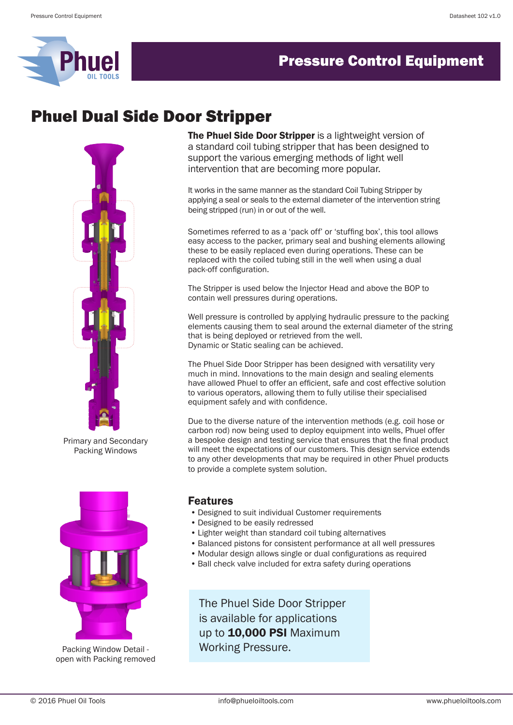

### **Pressure Control Equipment**

## Phuel Dual Side Door Stripper



Primary and Secondary Packing Windows



open with Packing removed

The Phuel Side Door Stripper is a lightweight version of a standard coil tubing stripper that has been designed to support the various emerging methods of light well intervention that are becoming more popular.

It works in the same manner as the standard Coil Tubing Stripper by applying a seal or seals to the external diameter of the intervention string being stripped (run) in or out of the well.

Sometimes referred to as a 'pack off' or 'stuffing box', this tool allows easy access to the packer, primary seal and bushing elements allowing these to be easily replaced even during operations. These can be replaced with the coiled tubing still in the well when using a dual pack-off configuration.

The Stripper is used below the Injector Head and above the BOP to contain well pressures during operations.

Well pressure is controlled by applying hydraulic pressure to the packing elements causing them to seal around the external diameter of the string that is being deployed or retrieved from the well. Dynamic or Static sealing can be achieved.

The Phuel Side Door Stripper has been designed with versatility very much in mind. Innovations to the main design and sealing elements have allowed Phuel to offer an efficient, safe and cost effective solution to various operators, allowing them to fully utilise their specialised equipment safely and with confidence.

Due to the diverse nature of the intervention methods (e.g. coil hose or carbon rod) now being used to deploy equipment into wells, Phuel offer a bespoke design and testing service that ensures that the final product will meet the expectations of our customers. This design service extends to any other developments that may be required in other Phuel products to provide a complete system solution.

### Features

- Designed to suit individual Customer requirements
- Designed to be easily redressed
- Lighter weight than standard coil tubing alternatives
- Balanced pistons for consistent performance at all well pressures
- Modular design allows single or dual configurations as required
- Ball check valve included for extra safety during operations

The Phuel Side Door Stripper is available for applications up to **10,000 PSI** Maximum Packing Window Detail - Working Pressure.